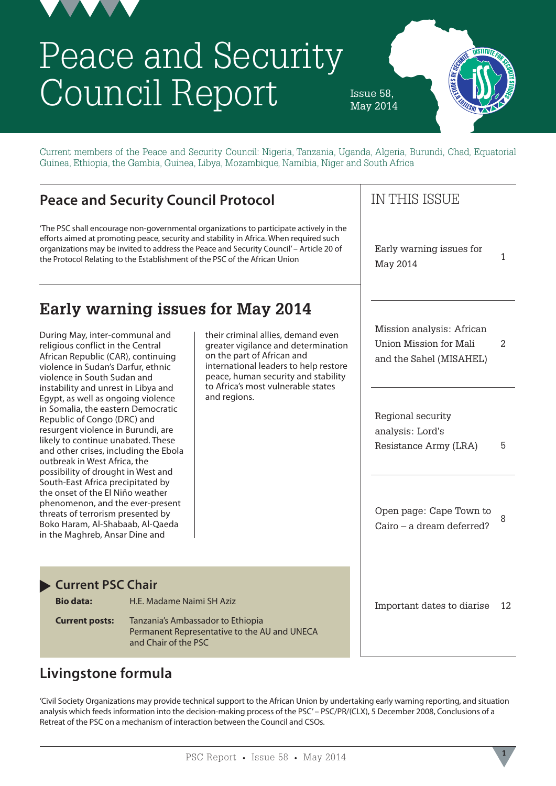

# Peace and Security Council Report

Issue 58, May 2014



Current members of the Peace and Security Council: Nigeria, Tanzania, Uganda, Algeria, Burundi, Chad, Equatorial Guinea, Ethiopia, the Gambia, Guinea, Libya, Mozambique, Namibia, Niger and South Africa

### **Peace and Security Council Protocol**

'The PSC shall encourage non-governmental organizations to participate actively in the efforts aimed at promoting peace, security and stability in Africa. When required such organizations may be invited to address the Peace and Security Council' – Article 20 of the Protocol Relating to the Establishment of the PSC of the African Union

# **Early warning issues for May 2014**

During May, inter-communal and religious conflict in the Central African Republic (CAR), continuing violence in Sudan's Darfur, ethnic violence in South Sudan and instability and unrest in Libya and Egypt, as well as ongoing violence in Somalia, the eastern Democratic Republic of Congo (DRC) and resurgent violence in Burundi, are likely to continue unabated. These and other crises, including the Ebola outbreak in West Africa, the possibility of drought in West and South-East Africa precipitated by the onset of the El Niño weather phenomenon, and the ever-present threats of terrorism presented by Boko Haram, Al-Shabaab, Al-Qaeda in the Maghreb, Ansar Dine and

their criminal allies, demand even greater vigilance and determination on the part of African and international leaders to help restore peace, human security and stability to Africa's most vulnerable states and regions.

### IN THIS ISSUE

Early warning issues for May 2014 1

Mission analysis: African Union Mission for Mali and the Sahel (MISAHEL)  $\mathfrak{D}$ 

Regional security analysis: Lord's Resistance Army (LRA) 5

Open page: Cape Town to Cairo – a dream deferred? 8

#### **Current PSC Chair**

| <b>Bio data:</b>      | H.E. Madame Naimi SH Aziz                                                                                 |
|-----------------------|-----------------------------------------------------------------------------------------------------------|
| <b>Current posts:</b> | Tanzania's Ambassador to Ethiopia<br>Permanent Representative to the AU and UNECA<br>and Chair of the PSC |

Important dates to diarise 12

# **Livingstone formula**

'Civil Society Organizations may provide technical support to the African Union by undertaking early warning reporting, and situation analysis which feeds information into the decision-making process of the PSC' – PSC/PR/(CLX), 5 December 2008, Conclusions of a Retreat of the PSC on a mechanism of interaction between the Council and CSOs.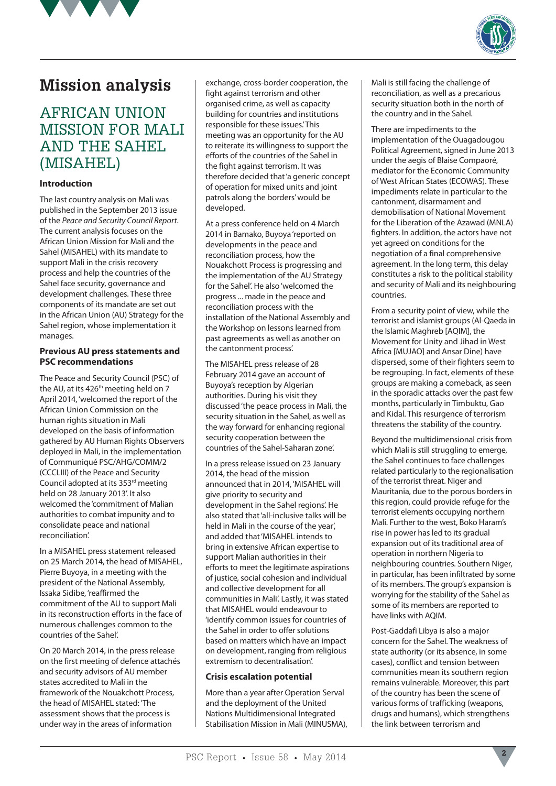



# **Mission analysis**

### AFRICAN UNION MISSION FOR MALI AND THE SAHEL (MISAHEL)

#### **Introduction**

The last country analysis on Mali was published in the September 2013 issue of the *Peace and Security Council Report*. The current analysis focuses on the African Union Mission for Mali and the Sahel (MISAHEL) with its mandate to support Mali in the crisis recovery process and help the countries of the Sahel face security, governance and development challenges. These three components of its mandate are set out in the African Union (AU) Strategy for the Sahel region, whose implementation it manages.

#### **Previous AU press statements and PSC recommendations**

The Peace and Security Council (PSC) of the AU, at its 426<sup>th</sup> meeting held on 7 April 2014, 'welcomed the report of the African Union Commission on the human rights situation in Mali developed on the basis of information gathered by AU Human Rights Observers deployed in Mali, in the implementation of Communiqué PSC/AHG/COMM/2 (CCCLIII) of the Peace and Security Council adopted at its 353rd meeting held on 28 January 2013'. It also welcomed the 'commitment of Malian authorities to combat impunity and to consolidate peace and national reconciliation'.

In a MISAHEL press statement released on 25 March 2014, the head of MISAHEL, Pierre Buyoya, in a meeting with the president of the National Assembly, Issaka Sidibe, 'reaffirmed the commitment of the AU to support Mali in its reconstruction efforts in the face of numerous challenges common to the countries of the Sahel'.

On 20 March 2014, in the press release on the first meeting of defence attachés and security advisors of AU member states accredited to Mali in the framework of the Nouakchott Process, the head of MISAHEL stated: 'The assessment shows that the process is under way in the areas of information

exchange, cross-border cooperation, the fight against terrorism and other organised crime, as well as capacity building for countries and institutions responsible for these issues.' This meeting was an opportunity for the AU to reiterate its willingness to support the efforts of the countries of the Sahel in the fight against terrorism. It was therefore decided that 'a generic concept of operation for mixed units and joint patrols along the borders' would be developed.

At a press conference held on 4 March 2014 in Bamako, Buyoya 'reported on developments in the peace and reconciliation process, how the Nouakchott Process is progressing and the implementation of the AU Strategy for the Sahel'. He also 'welcomed the progress ... made in the peace and reconciliation process with the installation of the National Assembly and the Workshop on lessons learned from past agreements as well as another on the cantonment process'.

The MISAHEL press release of 28 February 2014 gave an account of Buyoya's reception by Algerian authorities. During his visit they discussed 'the peace process in Mali, the security situation in the Sahel, as well as the way forward for enhancing regional security cooperation between the countries of the Sahel-Saharan zone'.

In a press release issued on 23 January 2014, the head of the mission announced that in 2014, 'MISAHEL will give priority to security and development in the Sahel regions'. He also stated that 'all-inclusive talks will be held in Mali in the course of the year', and added that 'MISAHEL intends to bring in extensive African expertise to support Malian authorities in their efforts to meet the legitimate aspirations of justice, social cohesion and individual and collective development for all communities in Mali'. Lastly, it was stated that MISAHEL would endeavour to 'identify common issues for countries of the Sahel in order to offer solutions based on matters which have an impact on development, ranging from religious extremism to decentralisation'.

#### **Crisis escalation potential**

More than a year after Operation Serval and the deployment of the United Nations Multidimensional Integrated Stabilisation Mission in Mali (MINUSMA),

Mali is still facing the challenge of reconciliation, as well as a precarious security situation both in the north of the country and in the Sahel.

There are impediments to the implementation of the Ouagadougou Political Agreement, signed in June 2013 under the aegis of Blaise Compaoré, mediator for the Economic Community of West African States (ECOWAS). These impediments relate in particular to the cantonment, disarmament and demobilisation of National Movement for the Liberation of the Azawad (MNLA) fighters. In addition, the actors have not yet agreed on conditions for the negotiation of a final comprehensive agreement. In the long term, this delay constitutes a risk to the political stability and security of Mali and its neighbouring countries.

From a security point of view, while the terrorist and islamist groups (Al-Qaeda in the Islamic Maghreb [AQIM], the Movement for Unity and Jihad in West Africa [MUJAO] and Ansar Dine) have dispersed, some of their fighters seem to be regrouping. In fact, elements of these groups are making a comeback, as seen in the sporadic attacks over the past few months, particularly in Timbuktu, Gao and Kidal. This resurgence of terrorism threatens the stability of the country.

Beyond the multidimensional crisis from which Mali is still struggling to emerge, the Sahel continues to face challenges related particularly to the regionalisation of the terrorist threat. Niger and Mauritania, due to the porous borders in this region, could provide refuge for the terrorist elements occupying northern Mali. Further to the west, Boko Haram's rise in power has led to its gradual expansion out of its traditional area of operation in northern Nigeria to neighbouring countries. Southern Niger, in particular, has been infiltrated by some of its members. The group's expansion is worrying for the stability of the Sahel as some of its members are reported to have links with AQIM.

Post-Gaddafi Libya is also a major concern for the Sahel. The weakness of state authority (or its absence, in some cases), conflict and tension between communities mean its southern region remains vulnerable. Moreover, this part of the country has been the scene of various forms of trafficking (weapons, drugs and humans), which strengthens the link between terrorism and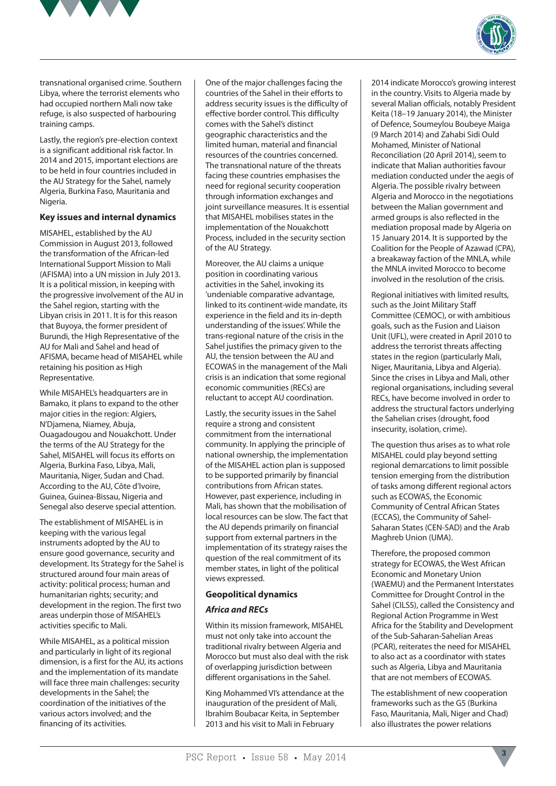



transnational organised crime. Southern Libya, where the terrorist elements who had occupied northern Mali now take refuge, is also suspected of harbouring training camps.

Lastly, the region's pre-election context is a significant additional risk factor. In 2014 and 2015, important elections are to be held in four countries included in the AU Strategy for the Sahel, namely Algeria, Burkina Faso, Mauritania and Nigeria.

#### **Key issues and internal dynamics**

MISAHEL, established by the AU Commission in August 2013, followed the transformation of the African-led International Support Mission to Mali (AFISMA) into a UN mission in July 2013. It is a political mission, in keeping with the progressive involvement of the AU in the Sahel region, starting with the Libyan crisis in 2011. It is for this reason that Buyoya, the former president of Burundi, the High Representative of the AU for Mali and Sahel and head of AFISMA, became head of MISAHEL while retaining his position as High Representative.

While MISAHEL's headquarters are in Bamako, it plans to expand to the other major cities in the region: Algiers, N'Djamena, Niamey, Abuja, Ouagadougou and Nouakchott. Under the terms of the AU Strategy for the Sahel, MISAHEL will focus its efforts on Algeria, Burkina Faso, Libya, Mali, Mauritania, Niger, Sudan and Chad. According to the AU, Côte d'Ivoire, Guinea, Guinea-Bissau, Nigeria and Senegal also deserve special attention.

The establishment of MISAHEL is in keeping with the various legal instruments adopted by the AU to ensure good governance, security and development. Its Strategy for the Sahel is structured around four main areas of activity: political process; human and humanitarian rights; security; and development in the region. The first two areas underpin those of MISAHEL's activities specific to Mali.

While MISAHEL, as a political mission and particularly in light of its regional dimension, is a first for the AU, its actions and the implementation of its mandate will face three main challenges: security developments in the Sahel; the coordination of the initiatives of the various actors involved; and the financing of its activities.

One of the major challenges facing the countries of the Sahel in their efforts to address security issues is the difficulty of effective border control. This difficulty comes with the Sahel's distinct geographic characteristics and the limited human, material and financial resources of the countries concerned. The transnational nature of the threats facing these countries emphasises the need for regional security cooperation through information exchanges and joint surveillance measures. It is essential that MISAHEL mobilises states in the implementation of the Nouakchott Process, included in the security section of the AU Strategy.

Moreover, the AU claims a unique position in coordinating various activities in the Sahel, invoking its 'undeniable comparative advantage, linked to its continent-wide mandate, its experience in the field and its in-depth understanding of the issues'. While the trans-regional nature of the crisis in the Sahel justifies the primacy given to the AU, the tension between the AU and ECOWAS in the management of the Mali crisis is an indication that some regional economic communities (RECs) are reluctant to accept AU coordination.

Lastly, the security issues in the Sahel require a strong and consistent commitment from the international community. In applying the principle of national ownership, the implementation of the MISAHEL action plan is supposed to be supported primarily by financial contributions from African states. However, past experience, including in Mali, has shown that the mobilisation of local resources can be slow. The fact that the AU depends primarily on financial support from external partners in the implementation of its strategy raises the question of the real commitment of its member states, in light of the political views expressed.

#### **Geopolitical dynamics**

#### *Africa and RECs*

Within its mission framework, MISAHEL must not only take into account the traditional rivalry between Algeria and Morocco but must also deal with the risk of overlapping jurisdiction between different organisations in the Sahel.

King Mohammed VI's attendance at the inauguration of the president of Mali, Ibrahim Boubacar Keita, in September 2013 and his visit to Mali in February

2014 indicate Morocco's growing interest in the country. Visits to Algeria made by several Malian officials, notably President Keita (18–19 January 2014), the Minister of Defence, Soumeylou Boubeye Maiga (9 March 2014) and Zahabi Sidi Ould Mohamed, Minister of National Reconciliation (20 April 2014), seem to indicate that Malian authorities favour mediation conducted under the aegis of Algeria. The possible rivalry between Algeria and Morocco in the negotiations between the Malian government and armed groups is also reflected in the mediation proposal made by Algeria on 15 January 2014. It is supported by the Coalition for the People of Azawad (CPA), a breakaway faction of the MNLA, while the MNLA invited Morocco to become involved in the resolution of the crisis.

Regional initiatives with limited results, such as the Joint Military Staff Committee (CEMOC), or with ambitious goals, such as the Fusion and Liaison Unit (UFL), were created in April 2010 to address the terrorist threats affecting states in the region (particularly Mali, Niger, Mauritania, Libya and Algeria). Since the crises in Libya and Mali, other regional organisations, including several RECs, have become involved in order to address the structural factors underlying the Sahelian crises (drought, food insecurity, isolation, crime).

The question thus arises as to what role MISAHEL could play beyond setting regional demarcations to limit possible tension emerging from the distribution of tasks among different regional actors such as ECOWAS, the Economic Community of Central African States (ECCAS), the Community of Sahel-Saharan States (CEN-SAD) and the Arab Maghreb Union (UMA).

Therefore, the proposed common strategy for ECOWAS, the West African Economic and Monetary Union (WAEMU) and the Permanent Interstates Committee for Drought Control in the Sahel (CILSS), called the Consistency and Regional Action Programme in West Africa for the Stability and Development of the Sub-Saharan-Sahelian Areas (PCAR), reiterates the need for MISAHEL to also act as a coordinator with states such as Algeria, Libya and Mauritania that are not members of ECOWAS.

The establishment of new cooperation frameworks such as the G5 (Burkina Faso, Mauritania, Mali, Niger and Chad) also illustrates the power relations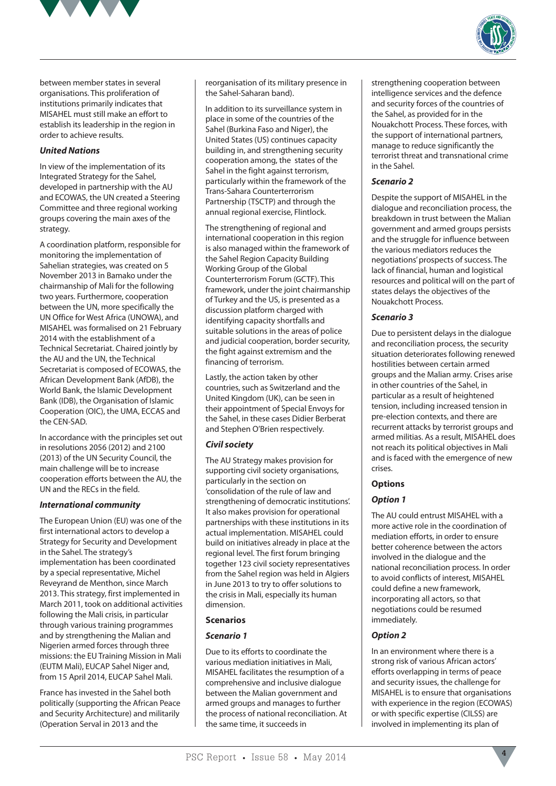



between member states in several organisations. This proliferation of institutions primarily indicates that MISAHEL must still make an effort to establish its leadership in the region in order to achieve results.

#### *United Nations*

In view of the implementation of its Integrated Strategy for the Sahel, developed in partnership with the AU and ECOWAS, the UN created a Steering Committee and three regional working groups covering the main axes of the strategy.

A coordination platform, responsible for monitoring the implementation of Sahelian strategies, was created on 5 November 2013 in Bamako under the chairmanship of Mali for the following two years. Furthermore, cooperation between the UN, more specifically the UN Office for West Africa (UNOWA), and MISAHEL was formalised on 21 February 2014 with the establishment of a Technical Secretariat. Chaired jointly by the AU and the UN, the Technical Secretariat is composed of ECOWAS, the African Development Bank (AfDB), the World Bank, the Islamic Development Bank (IDB), the Organisation of Islamic Cooperation (OIC), the UMA, ECCAS and the CEN-SAD.

In accordance with the principles set out in resolutions 2056 (2012) and 2100 (2013) of the UN Security Council, the main challenge will be to increase cooperation efforts between the AU, the UN and the RECs in the field.

#### *International community*

The European Union (EU) was one of the first international actors to develop a Strategy for Security and Development in the Sahel. The strategy's implementation has been coordinated by a special representative, Michel Reveyrand de Menthon, since March 2013. This strategy, first implemented in March 2011, took on additional activities following the Mali crisis, in particular through various training programmes and by strengthening the Malian and Nigerien armed forces through three missions: the EU Training Mission in Mali (EUTM Mali), EUCAP Sahel Niger and, from 15 April 2014, EUCAP Sahel Mali.

France has invested in the Sahel both politically (supporting the African Peace and Security Architecture) and militarily (Operation Serval in 2013 and the

reorganisation of its military presence in the Sahel-Saharan band).

In addition to its surveillance system in place in some of the countries of the Sahel (Burkina Faso and Niger), the United States (US) continues capacity building in, and strengthening security cooperation among, the states of the Sahel in the fight against terrorism. particularly within the framework of the Trans-Sahara Counterterrorism Partnership (TSCTP) and through the annual regional exercise, Flintlock.

The strengthening of regional and international cooperation in this region is also managed within the framework of the Sahel Region Capacity Building Working Group of the Global Counterterrorism Forum (GCTF). This framework, under the joint chairmanship of Turkey and the US, is presented as a discussion platform charged with identifying capacity shortfalls and suitable solutions in the areas of police and judicial cooperation, border security, the fight against extremism and the financing of terrorism.

Lastly, the action taken by other countries, such as Switzerland and the United Kingdom (UK), can be seen in their appointment of Special Envoys for the Sahel, in these cases Didier Berberat and Stephen O'Brien respectively.

#### *Civil society*

The AU Strategy makes provision for supporting civil society organisations, particularly in the section on 'consolidation of the rule of law and strengthening of democratic institutions'. It also makes provision for operational partnerships with these institutions in its actual implementation. MISAHEL could build on initiatives already in place at the regional level. The first forum bringing together 123 civil society representatives from the Sahel region was held in Algiers in June 2013 to try to offer solutions to the crisis in Mali, especially its human dimension.

#### **Scenarios**

#### *Scenario 1*

Due to its efforts to coordinate the various mediation initiatives in Mali, MISAHEL facilitates the resumption of a comprehensive and inclusive dialogue between the Malian government and armed groups and manages to further the process of national reconciliation. At the same time, it succeeds in

strengthening cooperation between intelligence services and the defence and security forces of the countries of the Sahel, as provided for in the Nouakchott Process. These forces, with the support of international partners, manage to reduce significantly the terrorist threat and transnational crime in the Sahel.

#### *Scenario 2*

Despite the support of MISAHEL in the dialogue and reconciliation process, the breakdown in trust between the Malian government and armed groups persists and the struggle for influence between the various mediators reduces the negotiations' prospects of success. The lack of financial, human and logistical resources and political will on the part of states delays the objectives of the Nouakchott Process.

#### *Scenario 3*

Due to persistent delays in the dialogue and reconciliation process, the security situation deteriorates following renewed hostilities between certain armed groups and the Malian army. Crises arise in other countries of the Sahel, in particular as a result of heightened tension, including increased tension in pre-election contexts, and there are recurrent attacks by terrorist groups and armed militias. As a result, MISAHEL does not reach its political objectives in Mali and is faced with the emergence of new crises.

#### **Options**

#### *Option 1*

The AU could entrust MISAHEL with a more active role in the coordination of mediation efforts, in order to ensure better coherence between the actors involved in the dialogue and the national reconciliation process. In order to avoid conflicts of interest, MISAHEL could define a new framework, incorporating all actors, so that negotiations could be resumed immediately.

#### *Option 2*

In an environment where there is a strong risk of various African actors' efforts overlapping in terms of peace and security issues, the challenge for MISAHEL is to ensure that organisations with experience in the region (ECOWAS) or with specific expertise (CILSS) are involved in implementing its plan of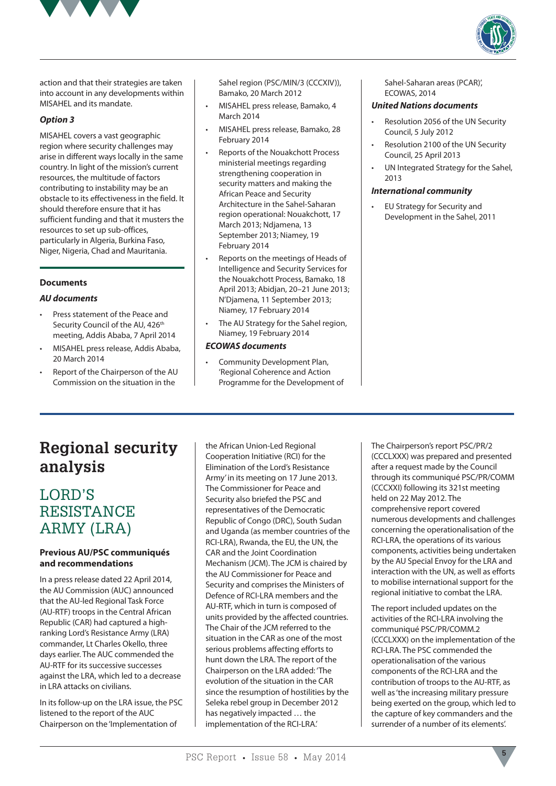



action and that their strategies are taken into account in any developments within MISAHEL and its mandate.

#### *Option 3*

MISAHEL covers a vast geographic region where security challenges may arise in different ways locally in the same country. In light of the mission's current resources, the multitude of factors contributing to instability may be an obstacle to its effectiveness in the field. It should therefore ensure that it has sufficient funding and that it musters the resources to set up sub-offices, particularly in Algeria, Burkina Faso, Niger, Nigeria, Chad and Mauritania.

#### **Documents**

#### *AU documents*

- Press statement of the Peace and Security Council of the AU, 426<sup>th</sup> meeting, Addis Ababa, 7 April 2014
- MISAHEL press release, Addis Ababa, 20 March 2014
- Report of the Chairperson of the AU Commission on the situation in the

Sahel region (PSC/MIN/3 (CCCXIV)), Bamako, 20 March 2012

- MISAHEL press release, Bamako, 4 March 2014
- MISAHEL press release, Bamako, 28 February 2014
- Reports of the Nouakchott Process ministerial meetings regarding strengthening cooperation in security matters and making the African Peace and Security Architecture in the Sahel-Saharan region operational: Nouakchott, 17 March 2013; Ndjamena, 13 September 2013; Niamey, 19 February 2014
- Reports on the meetings of Heads of Intelligence and Security Services for the Nouakchott Process, Bamako, 18 April 2013; Abidjan, 20–21 June 2013; N'Djamena, 11 September 2013; Niamey, 17 February 2014
- The AU Strategy for the Sahel region, Niamey, 19 February 2014

#### *ECOWAS documents*

Community Development Plan, 'Regional Coherence and Action Programme for the Development of Sahel-Saharan areas (PCAR)', ECOWAS, 2014

#### *United Nations documents*

- Resolution 2056 of the UN Security Council, 5 July 2012
- Resolution 2100 of the UN Security Council, 25 April 2013
- UN Integrated Strategy for the Sahel, 2013

#### *International community*

EU Strategy for Security and Development in the Sahel, 2011

# **Regional security analysis**

### LORD'S RESISTANCE ARMY (LRA)

#### **Previous AU/PSC communiqués and recommendations**

In a press release dated 22 April 2014, the AU Commission (AUC) announced that the AU-led Regional Task Force (AU-RTF) troops in the Central African Republic (CAR) had captured a highranking Lord's Resistance Army (LRA) commander, Lt Charles Okello, three days earlier. The AUC commended the AU-RTF for its successive successes against the LRA, which led to a decrease in LRA attacks on civilians.

In its follow-up on the LRA issue, the PSC listened to the report of the AUC Chairperson on the 'Implementation of

the African Union-Led Regional Cooperation Initiative (RCI) for the Elimination of the Lord's Resistance Army' in its meeting on 17 June 2013. The Commissioner for Peace and Security also briefed the PSC and representatives of the Democratic Republic of Congo (DRC), South Sudan and Uganda (as member countries of the RCI-LRA), Rwanda, the EU, the UN, the CAR and the Joint Coordination Mechanism (JCM). The JCM is chaired by the AU Commissioner for Peace and Security and comprises the Ministers of Defence of RCI-LRA members and the AU-RTF, which in turn is composed of units provided by the affected countries. The Chair of the JCM referred to the situation in the CAR as one of the most serious problems affecting efforts to hunt down the LRA. The report of the Chairperson on the LRA added: 'The evolution of the situation in the CAR since the resumption of hostilities by the Seleka rebel group in December 2012 has negatively impacted ... the implementation of the RCI-LRA.'

The Chairperson's report PSC/PR/2 (CCCLXXX) was prepared and presented after a request made by the Council through its communiqué PSC/PR/COMM (CCCXXI) following its 321st meeting held on 22 May 2012. The comprehensive report covered numerous developments and challenges concerning the operationalisation of the RCI-LRA, the operations of its various components, activities being undertaken by the AU Special Envoy for the LRA and interaction with the UN, as well as efforts to mobilise international support for the regional initiative to combat the LRA.

The report included updates on the activities of the RCI-LRA involving the communiqué PSC/PR/COMM.2 (CCCLXXX) on the implementation of the RCI-LRA. The PSC commended the operationalisation of the various components of the RCI-LRA and the contribution of troops to the AU-RTF, as well as 'the increasing military pressure being exerted on the group, which led to the capture of key commanders and the surrender of a number of its elements'.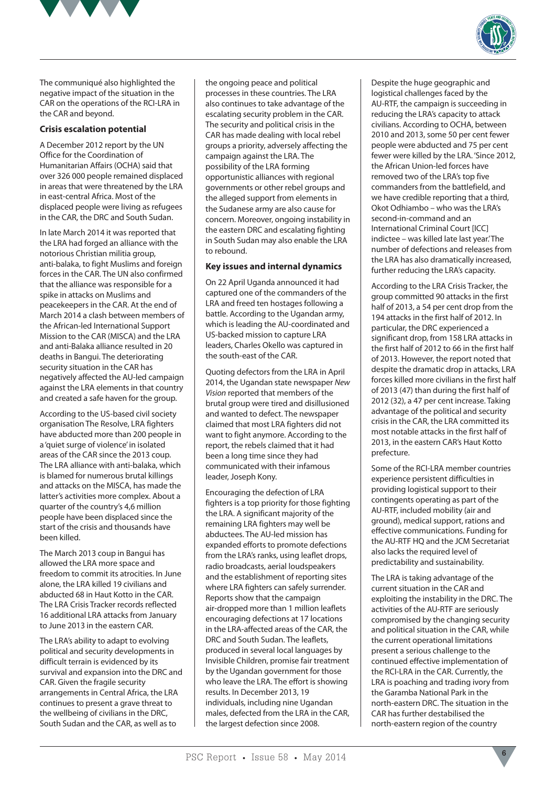



The communiqué also highlighted the negative impact of the situation in the CAR on the operations of the RCI-LRA in the CAR and beyond.

#### **Crisis escalation potential**

A December 2012 report by the UN Office for the Coordination of Humanitarian Affairs (OCHA) said that over 326 000 people remained displaced in areas that were threatened by the LRA in east-central Africa. Most of the displaced people were living as refugees in the CAR, the DRC and South Sudan.

In late March 2014 it was reported that the LRA had forged an alliance with the notorious Christian militia group, anti-balaka, to fight Muslims and foreign forces in the CAR. The UN also confirmed that the alliance was responsible for a spike in attacks on Muslims and peacekeepers in the CAR. At the end of March 2014 a clash between members of the African-led International Support Mission to the CAR (MISCA) and the LRA and anti-Balaka alliance resulted in 20 deaths in Bangui. The deteriorating security situation in the CAR has negatively affected the AU-led campaign against the LRA elements in that country and created a safe haven for the group.

According to the US-based civil society organisation The Resolve, LRA fighters have abducted more than 200 people in a 'quiet surge of violence' in isolated areas of the CAR since the 2013 coup. The LRA alliance with anti-balaka, which is blamed for numerous brutal killings and attacks on the MISCA, has made the latter's activities more complex. About a quarter of the country's 4,6 million people have been displaced since the start of the crisis and thousands have been killed.

The March 2013 coup in Bangui has allowed the LRA more space and freedom to commit its atrocities. In June alone, the LRA killed 19 civilians and abducted 68 in Haut Kotto in the CAR. The LRA Crisis Tracker records reflected 16 additional LRA attacks from January to June 2013 in the eastern CAR.

The LRA's ability to adapt to evolving political and security developments in difficult terrain is evidenced by its survival and expansion into the DRC and CAR. Given the fragile security arrangements in Central Africa, the LRA continues to present a grave threat to the wellbeing of civilians in the DRC, South Sudan and the CAR, as well as to

the ongoing peace and political processes in these countries. The LRA also continues to take advantage of the escalating security problem in the CAR. The security and political crisis in the CAR has made dealing with local rebel groups a priority, adversely affecting the campaign against the LRA. The possibility of the LRA forming opportunistic alliances with regional governments or other rebel groups and the alleged support from elements in the Sudanese army are also cause for concern. Moreover, ongoing instability in the eastern DRC and escalating fighting in South Sudan may also enable the LRA to rebound.

#### **Key issues and internal dynamics**

On 22 April Uganda announced it had captured one of the commanders of the LRA and freed ten hostages following a battle. According to the Ugandan army, which is leading the AU-coordinated and US-backed mission to capture LRA leaders, Charles Okello was captured in the south-east of the CAR.

Quoting defectors from the LRA in April 2014, the Ugandan state newspaper *New Vision* reported that members of the brutal group were tired and disillusioned and wanted to defect. The newspaper claimed that most LRA fighters did not want to fight anymore. According to the report, the rebels claimed that it had been a long time since they had communicated with their infamous leader, Joseph Kony.

Encouraging the defection of LRA fighters is a top priority for those fighting the LRA. A significant majority of the remaining LRA fighters may well be abductees. The AU-led mission has expanded efforts to promote defections from the LRA's ranks, using leaflet drops, radio broadcasts, aerial loudspeakers and the establishment of reporting sites where LRA fighters can safely surrender. Reports show that the campaign air-dropped more than 1 million leaflets encouraging defections at 17 locations in the LRA-affected areas of the CAR, the DRC and South Sudan. The leaflets, produced in several local languages by Invisible Children, promise fair treatment by the Ugandan government for those who leave the LRA. The effort is showing results. In December 2013, 19 individuals, including nine Ugandan males, defected from the LRA in the CAR, the largest defection since 2008.

Despite the huge geographic and logistical challenges faced by the AU-RTF, the campaign is succeeding in reducing the LRA's capacity to attack civilians. According to OCHA, between 2010 and 2013, some 50 per cent fewer people were abducted and 75 per cent fewer were killed by the LRA. 'Since 2012, the African Union-led forces have removed two of the LRA's top five commanders from the battlefield, and we have credible reporting that a third, Okot Odhiambo – who was the LRA's second-in-command and an International Criminal Court [ICC] indictee – was killed late last year.' The number of defections and releases from the LRA has also dramatically increased, further reducing the LRA's capacity.

According to the LRA Crisis Tracker, the group committed 90 attacks in the first half of 2013, a 54 per cent drop from the 194 attacks in the first half of 2012. In particular, the DRC experienced a significant drop, from 158 LRA attacks in the first half of 2012 to 66 in the first half of 2013. However, the report noted that despite the dramatic drop in attacks, LRA forces killed more civilians in the first half of 2013 (47) than during the first half of 2012 (32), a 47 per cent increase. Taking advantage of the political and security crisis in the CAR, the LRA committed its most notable attacks in the first half of 2013, in the eastern CAR's Haut Kotto prefecture.

Some of the RCI-LRA member countries experience persistent difficulties in providing logistical support to their contingents operating as part of the AU-RTF, included mobility (air and ground), medical support, rations and effective communications. Funding for the AU-RTF HQ and the JCM Secretariat also lacks the required level of predictability and sustainability.

The LRA is taking advantage of the current situation in the CAR and exploiting the instability in the DRC. The activities of the AU-RTF are seriously compromised by the changing security and political situation in the CAR, while the current operational limitations present a serious challenge to the continued effective implementation of the RCI-LRA in the CAR. Currently, the LRA is poaching and trading ivory from the Garamba National Park in the north-eastern DRC. The situation in the CAR has further destabilised the north-eastern region of the country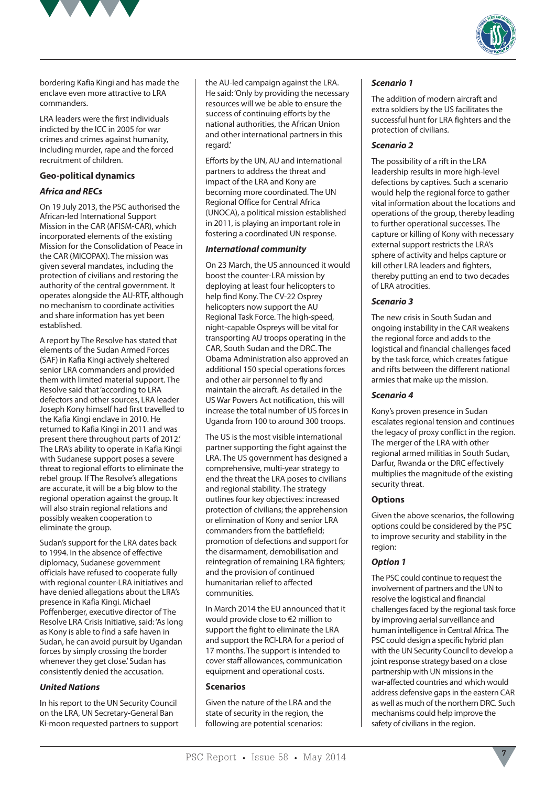



bordering Kafia Kingi and has made the enclave even more attractive to LRA commanders.

LRA leaders were the first individuals indicted by the ICC in 2005 for war crimes and crimes against humanity, including murder, rape and the forced recruitment of children.

#### **Geo-political dynamics**

#### *Africa and RECs*

On 19 July 2013, the PSC authorised the African-led International Support Mission in the CAR (AFISM-CAR), which incorporated elements of the existing Mission for the Consolidation of Peace in the CAR (MICOPAX). The mission was given several mandates, including the protection of civilians and restoring the authority of the central government. It operates alongside the AU-RTF, although no mechanism to coordinate activities and share information has yet been established.

A report by The Resolve has stated that elements of the Sudan Armed Forces (SAF) in Kafia Kingi actively sheltered senior LRA commanders and provided them with limited material support. The Resolve said that 'according to LRA defectors and other sources, LRA leader Joseph Kony himself had first travelled to the Kafia Kingi enclave in 2010. He returned to Kafia Kingi in 2011 and was present there throughout parts of 2012.' The LRA's ability to operate in Kafia Kingi with Sudanese support poses a severe threat to regional efforts to eliminate the rebel group. If The Resolve's allegations are accurate, it will be a big blow to the regional operation against the group. It will also strain regional relations and possibly weaken cooperation to eliminate the group.

Sudan's support for the LRA dates back to 1994. In the absence of effective diplomacy, Sudanese government officials have refused to cooperate fully with regional counter-LRA initiatives and have denied allegations about the LRA's presence in Kafia Kingi. Michael Poffenberger, executive director of The Resolve LRA Crisis Initiative, said: 'As long as Kony is able to find a safe haven in Sudan, he can avoid pursuit by Ugandan forces by simply crossing the border whenever they get close.' Sudan has consistently denied the accusation.

#### *United Nations*

In his report to the UN Security Council on the LRA, UN Secretary-General Ban Ki-moon requested partners to support the AU-led campaign against the LRA. He said: 'Only by providing the necessary resources will we be able to ensure the success of continuing efforts by the national authorities, the African Union and other international partners in this regard.'

Efforts by the UN, AU and international partners to address the threat and impact of the LRA and Kony are becoming more coordinated. The UN Regional Office for Central Africa (UNOCA), a political mission established in 2011, is playing an important role in fostering a coordinated UN response.

#### *International community*

On 23 March, the US announced it would boost the counter-LRA mission by deploying at least four helicopters to help find Kony. The CV-22 Osprey helicopters now support the AU Regional Task Force. The high-speed, night-capable Ospreys will be vital for transporting AU troops operating in the CAR, South Sudan and the DRC. The Obama Administration also approved an additional 150 special operations forces and other air personnel to fly and maintain the aircraft. As detailed in the US War Powers Act notification, this will increase the total number of US forces in Uganda from 100 to around 300 troops.

The US is the most visible international partner supporting the fight against the LRA. The US government has designed a comprehensive, multi-year strategy to end the threat the LRA poses to civilians and regional stability. The strategy outlines four key objectives: increased protection of civilians; the apprehension or elimination of Kony and senior LRA commanders from the battlefield; promotion of defections and support for the disarmament, demobilisation and reintegration of remaining LRA fighters; and the provision of continued humanitarian relief to affected communities.

In March 2014 the EU announced that it would provide close to €2 million to support the fight to eliminate the LRA and support the RCI-LRA for a period of 17 months. The support is intended to cover staff allowances, communication equipment and operational costs.

#### **Scenarios**

Given the nature of the LRA and the state of security in the region, the following are potential scenarios:

#### *Scenario 1*

The addition of modern aircraft and extra soldiers by the US facilitates the successful hunt for LRA fighters and the protection of civilians.

#### *Scenario 2*

The possibility of a rift in the LRA leadership results in more high-level defections by captives. Such a scenario would help the regional force to gather vital information about the locations and operations of the group, thereby leading to further operational successes. The capture or killing of Kony with necessary external support restricts the LRA's sphere of activity and helps capture or kill other LRA leaders and fighters, thereby putting an end to two decades of LRA atrocities.

#### *Scenario 3*

The new crisis in South Sudan and ongoing instability in the CAR weakens the regional force and adds to the logistical and financial challenges faced by the task force, which creates fatigue and rifts between the different national armies that make up the mission.

#### *Scenario 4*

Kony's proven presence in Sudan escalates regional tension and continues the legacy of proxy conflict in the region. The merger of the LRA with other regional armed militias in South Sudan, Darfur, Rwanda or the DRC effectively multiplies the magnitude of the existing security threat.

#### **Options**

Given the above scenarios, the following options could be considered by the PSC to improve security and stability in the region:

#### *Option 1*

The PSC could continue to request the involvement of partners and the UN to resolve the logistical and financial challenges faced by the regional task force by improving aerial surveillance and human intelligence in Central Africa. The PSC could design a specific hybrid plan with the UN Security Council to develop a joint response strategy based on a close partnership with UN missions in the war-affected countries and which would address defensive gaps in the eastern CAR as well as much of the northern DRC. Such mechanisms could help improve the safety of civilians in the region.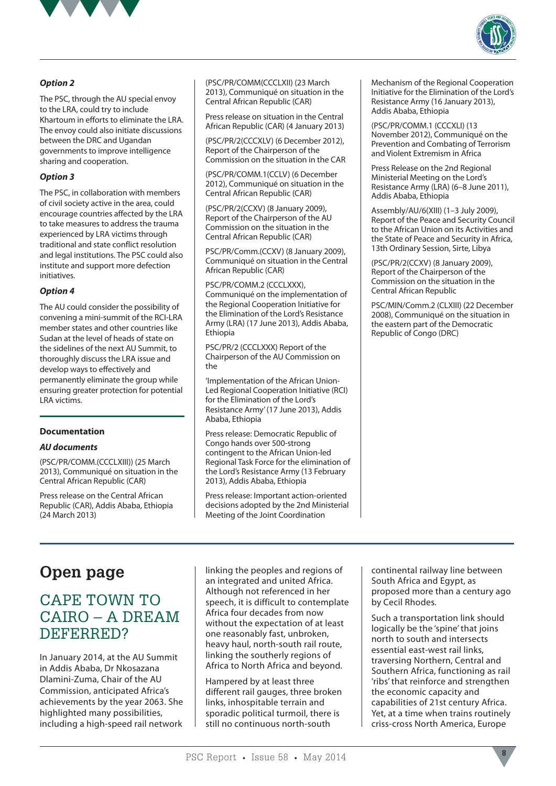



#### *Option 2*

The PSC, through the AU special envoy to the LRA, could try to include Khartoum in efforts to eliminate the LRA. The envoy could also initiate discussions between the DRC and Ugandan governments to improve intelligence sharing and cooperation.

#### *Option 3*

The PSC, in collaboration with members of civil society active in the area, could encourage countries affected by the LRA to take measures to address the trauma experienced by LRA victims through traditional and state conflict resolution and legal institutions. The PSC could also institute and support more defection initiatives.

#### *Option 4*

The AU could consider the possibility of convening a mini-summit of the RCI-LRA member states and other countries like Sudan at the level of heads of state on the sidelines of the next AU Summit, to thoroughly discuss the LRA issue and develop ways to effectively and permanently eliminate the group while ensuring greater protection for potential LRA victims.

#### **Documentation**

#### *AU documents*

(PSC/PR/COMM.(CCCLXIII)) (25 March 2013), Communiqué on situation in the Central African Republic (CAR)

Press release on the Central African Republic (CAR), Addis Ababa, Ethiopia (24 March 2013)

(PSC/PR/COMM(CCCLXII) (23 March 2013), Communiqué on situation in the Central African Republic (CAR)

Press release on situation in the Central African Republic (CAR) (4 January 2013)

(PSC/PR/2(CCCXLV) (6 December 2012), Report of the Chairperson of the Commission on the situation in the CAR

(PSC/PR/COMM.1(CCLV) (6 December 2012), Communiqué on situation in the Central African Republic (CAR)

(PSC/PR/2(CCXV) (8 January 2009), Report of the Chairperson of the AU Commission on the situation in the Central African Republic (CAR)

PSC/PR/Comm.(CCXV) (8 January 2009), Communiqué on situation in the Central African Republic (CAR)

PSC/PR/COMM.2 (CCCLXXX), Communiqué on the implementation of the Regional Cooperation Initiative for the Elimination of the Lord's Resistance Army (LRA) (17 June 2013), Addis Ababa, Ethiopia

PSC/PR/2 (CCCLXXX) Report of the Chairperson of the AU Commission on the

'Implementation of the African Union-Led Regional Cooperation Initiative (RCI) for the Elimination of the Lord's Resistance Army' (17 June 2013), Addis Ababa, Ethiopia

Press release: Democratic Republic of Congo hands over 500-strong contingent to the African Union-led Regional Task Force for the elimination of the Lord's Resistance Army (13 February 2013), Addis Ababa, Ethiopia

Press release: Important action-oriented decisions adopted by the 2nd Ministerial Meeting of the Joint Coordination

Mechanism of the Regional Cooperation Initiative for the Elimination of the Lord's Resistance Army (16 January 2013), Addis Ababa, Ethiopia

(PSC/PR/COMM.1 (CCCXLI) (13 November 2012), Communiqué on the Prevention and Combating of Terrorism and Violent Extremism in Africa

Press Release on the 2nd Regional Ministerial Meeting on the Lord's Resistance Army (LRA) (6–8 June 2011), Addis Ababa, Ethiopia

Assembly/AU/6(XIII) (1–3 July 2009), Report of the Peace and Security Council to the African Union on its Activities and the State of Peace and Security in Africa, 13th Ordinary Session, Sirte, Libya

(PSC/PR/2(CCXV) (8 January 2009), Report of the Chairperson of the Commission on the situation in the Central African Republic

PSC/MIN/Comm.2 (CLXIII) (22 December 2008), Communiqué on the situation in the eastern part of the Democratic Republic of Congo (DRC)

# **Open page**

### CAPE TOWN TO CAIRO – A DREAM DEFERRED?

In January 2014, at the AU Summit in Addis Ababa, Dr Nkosazana Dlamini-Zuma, Chair of the AU Commission, anticipated Africa's achievements by the year 2063. She highlighted many possibilities, including a high-speed rail network linking the peoples and regions of an integrated and united Africa. Although not referenced in her speech, it is difficult to contemplate Africa four decades from now without the expectation of at least one reasonably fast, unbroken, heavy haul, north-south rail route, linking the southerly regions of Africa to North Africa and beyond.

Hampered by at least three different rail gauges, three broken links, inhospitable terrain and sporadic political turmoil, there is still no continuous north-south

continental railway line between South Africa and Egypt, as proposed more than a century ago by Cecil Rhodes.

Such a transportation link should logically be the 'spine' that joins north to south and intersects essential east-west rail links, traversing Northern, Central and Southern Africa, functioning as rail 'ribs' that reinforce and strengthen the economic capacity and capabilities of 21st century Africa. Yet, at a time when trains routinely criss-cross North America, Europe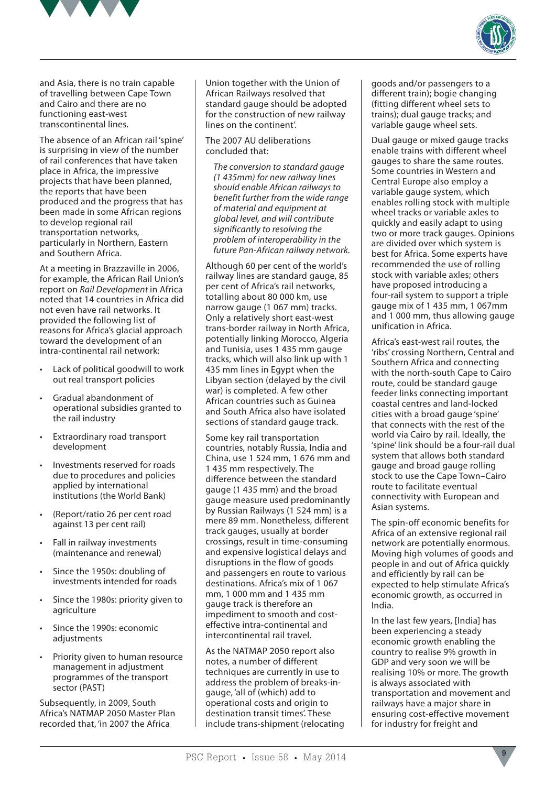



and Asia, there is no train capable of travelling between Cape Town and Cairo and there are no functioning east-west transcontinental lines.

The absence of an African rail 'spine' is surprising in view of the number of rail conferences that have taken place in Africa, the impressive projects that have been planned, the reports that have been produced and the progress that has been made in some African regions to develop regional rail transportation networks, particularly in Northern, Eastern and Southern Africa.

At a meeting in Brazzaville in 2006, for example, the African Rail Union's report on *Rail Development* in Africa noted that 14 countries in Africa did not even have rail networks. It provided the following list of reasons for Africa's glacial approach toward the development of an intra-continental rail network:

- Lack of political goodwill to work out real transport policies
- Gradual abandonment of operational subsidies granted to the rail industry
- • Extraordinary road transport development
- Investments reserved for roads due to procedures and policies applied by international institutions (the World Bank)
- (Report/ratio 26 per cent road against 13 per cent rail)
- Fall in railway investments (maintenance and renewal)
- Since the 1950s: doubling of investments intended for roads
- Since the 1980s: priority given to agriculture
- Since the 1990s: economic adjustments
- Priority given to human resource management in adjustment programmes of the transport sector (PAST)

Subsequently, in 2009, South Africa's NATMAP 2050 Master Plan recorded that, 'in 2007 the Africa

Union together with the Union of African Railways resolved that standard gauge should be adopted for the construction of new railway lines on the continent'.

The 2007 AU deliberations concluded that:

*The conversion to standard gauge (1 435mm) for new railway lines should enable African railways to benefit further from the wide range of material and equipment at global level, and will contribute significantly to resolving the problem of interoperability in the future Pan-African railway network.*

Although 60 per cent of the world's railway lines are standard gauge, 85 per cent of Africa's rail networks, totalling about 80 000 km, use narrow gauge (1 067 mm) tracks. Only a relatively short east-west trans-border railway in North Africa, potentially linking Morocco, Algeria and Tunisia, uses 1 435 mm gauge tracks, which will also link up with 1 435 mm lines in Egypt when the Libyan section (delayed by the civil war) is completed. A few other African countries such as Guinea and South Africa also have isolated sections of standard gauge track.

Some key rail transportation countries, notably Russia, India and China, use 1 524 mm, 1 676 mm and 1 435 mm respectively. The difference between the standard gauge (1 435 mm) and the broad gauge measure used predominantly by Russian Railways (1 524 mm) is a mere 89 mm. Nonetheless, different track gauges, usually at border crossings, result in time-consuming and expensive logistical delays and disruptions in the flow of goods and passengers en route to various destinations. Africa's mix of 1 067 mm, 1 000 mm and 1 435 mm gauge track is therefore an impediment to smooth and costeffective intra-continental and intercontinental rail travel.

As the NATMAP 2050 report also notes, a number of different techniques are currently in use to address the problem of breaks-ingauge, 'all of (which) add to operational costs and origin to destination transit times'. These include trans-shipment (relocating goods and/or passengers to a different train); bogie changing (fitting different wheel sets to trains); dual gauge tracks; and variable gauge wheel sets.

Dual gauge or mixed gauge tracks enable trains with different wheel gauges to share the same routes. Some countries in Western and Central Europe also employ a variable gauge system, which enables rolling stock with multiple wheel tracks or variable axles to quickly and easily adapt to using two or more track gauges. Opinions are divided over which system is best for Africa. Some experts have recommended the use of rolling stock with variable axles; others have proposed introducing a four-rail system to support a triple gauge mix of 1 435 mm, 1 067mm and 1 000 mm, thus allowing gauge unification in Africa.

Africa's east-west rail routes, the 'ribs' crossing Northern, Central and Southern Africa and connecting with the north-south Cape to Cairo route, could be standard gauge feeder links connecting important coastal centres and land-locked cities with a broad gauge 'spine' that connects with the rest of the world via Cairo by rail. Ideally, the 'spine' link should be a four-rail dual system that allows both standard gauge and broad gauge rolling stock to use the Cape Town–Cairo route to facilitate eventual connectivity with European and Asian systems.

The spin-off economic benefits for Africa of an extensive regional rail network are potentially enormous. Moving high volumes of goods and people in and out of Africa quickly and efficiently by rail can be expected to help stimulate Africa's economic growth, as occurred in India.

In the last few years, [India] has been experiencing a steady economic growth enabling the country to realise 9% growth in GDP and very soon we will be realising 10% or more. The growth is always associated with transportation and movement and railways have a major share in ensuring cost-effective movement for industry for freight and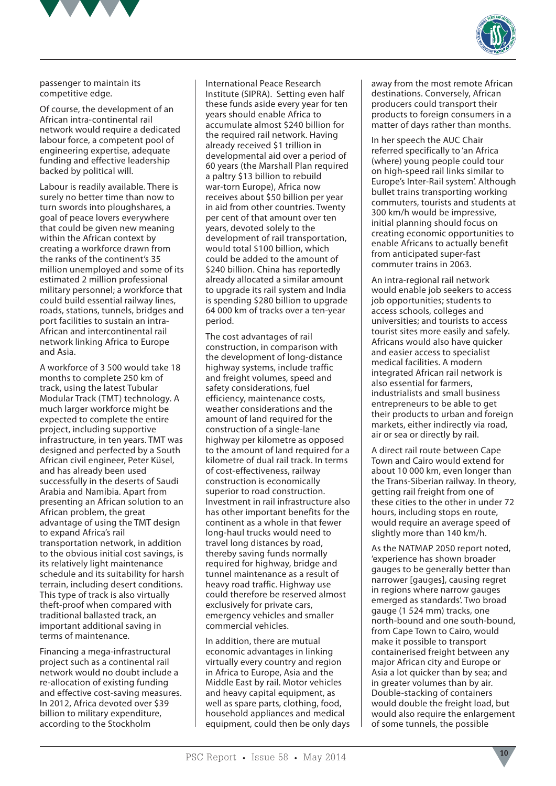



passenger to maintain its competitive edge.

Of course, the development of an African intra-continental rail network would require a dedicated labour force, a competent pool of engineering expertise, adequate funding and effective leadership backed by political will.

Labour is readily available. There is surely no better time than now to turn swords into ploughshares, a goal of peace lovers everywhere that could be given new meaning within the African context by creating a workforce drawn from the ranks of the continent's 35 million unemployed and some of its estimated 2 million professional military personnel; a workforce that could build essential railway lines, roads, stations, tunnels, bridges and port facilities to sustain an intra-African and intercontinental rail network linking Africa to Europe and Asia.

A workforce of 3 500 would take 18 months to complete 250 km of track, using the latest Tubular Modular Track (TMT) technology. A much larger workforce might be expected to complete the entire project, including supportive infrastructure, in ten years. TMT was designed and perfected by a South African civil engineer, Peter Küsel, and has already been used successfully in the deserts of Saudi Arabia and Namibia. Apart from presenting an African solution to an African problem, the great advantage of using the TMT design to expand Africa's rail transportation network, in addition to the obvious initial cost savings, is its relatively light maintenance schedule and its suitability for harsh terrain, including desert conditions. This type of track is also virtually theft-proof when compared with traditional ballasted track, an important additional saving in terms of maintenance.

Financing a mega-infrastructural project such as a continental rail network would no doubt include a re-allocation of existing funding and effective cost-saving measures. In 2012, Africa devoted over \$39 billion to military expenditure, according to the Stockholm

International Peace Research Institute (SIPRA). Setting even half these funds aside every year for ten years should enable Africa to accumulate almost \$240 billion for the required rail network. Having already received \$1 trillion in developmental aid over a period of 60 years (the Marshall Plan required a paltry \$13 billion to rebuild war-torn Europe), Africa now receives about \$50 billion per year in aid from other countries. Twenty per cent of that amount over ten years, devoted solely to the development of rail transportation, would total \$100 billion, which could be added to the amount of \$240 billion. China has reportedly already allocated a similar amount to upgrade its rail system and India is spending \$280 billion to upgrade 64 000 km of tracks over a ten-year period.

The cost advantages of rail construction, in comparison with the development of long-distance highway systems, include traffic and freight volumes, speed and safety considerations, fuel efficiency, maintenance costs, weather considerations and the amount of land required for the construction of a single-lane highway per kilometre as opposed to the amount of land required for a kilometre of dual rail track. In terms of cost-effectiveness, railway construction is economically superior to road construction. Investment in rail infrastructure also has other important benefits for the continent as a whole in that fewer long-haul trucks would need to travel long distances by road, thereby saving funds normally required for highway, bridge and tunnel maintenance as a result of heavy road traffic. Highway use could therefore be reserved almost exclusively for private cars, emergency vehicles and smaller commercial vehicles.

In addition, there are mutual economic advantages in linking virtually every country and region in Africa to Europe, Asia and the Middle East by rail. Motor vehicles and heavy capital equipment, as well as spare parts, clothing, food, household appliances and medical equipment, could then be only days away from the most remote African destinations. Conversely, African producers could transport their products to foreign consumers in a matter of days rather than months.

In her speech the AUC Chair referred specifically to 'an Africa (where) young people could tour on high-speed rail links similar to Europe's Inter-Rail system'. Although bullet trains transporting working commuters, tourists and students at 300 km/h would be impressive, initial planning should focus on creating economic opportunities to enable Africans to actually benefit from anticipated super-fast commuter trains in 2063.

An intra-regional rail network would enable job seekers to access job opportunities; students to access schools, colleges and universities; and tourists to access tourist sites more easily and safely. Africans would also have quicker and easier access to specialist medical facilities. A modern integrated African rail network is also essential for farmers, industrialists and small business entrepreneurs to be able to get their products to urban and foreign markets, either indirectly via road, air or sea or directly by rail.

A direct rail route between Cape Town and Cairo would extend for about 10 000 km, even longer than the Trans-Siberian railway. In theory, getting rail freight from one of these cities to the other in under 72 hours, including stops en route, would require an average speed of slightly more than 140 km/h.

As the NATMAP 2050 report noted, 'experience has shown broader gauges to be generally better than narrower [gauges], causing regret in regions where narrow gauges emerged as standards'. Two broad gauge (1 524 mm) tracks, one north-bound and one south-bound, from Cape Town to Cairo, would make it possible to transport containerised freight between any major African city and Europe or Asia a lot quicker than by sea; and in greater volumes than by air. Double-stacking of containers would double the freight load, but would also require the enlargement of some tunnels, the possible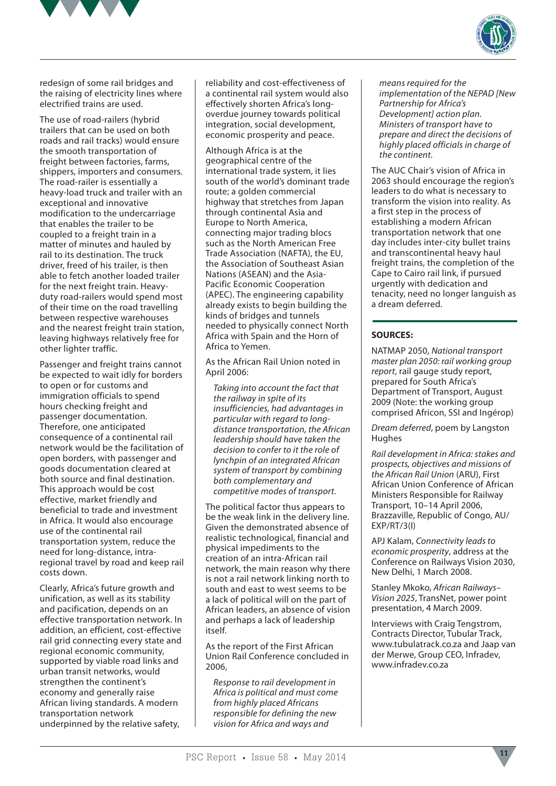



redesign of some rail bridges and the raising of electricity lines where electrified trains are used.

The use of road-railers (hybrid trailers that can be used on both roads and rail tracks) would ensure the smooth transportation of freight between factories, farms, shippers, importers and consumers. The road-railer is essentially a heavy-load truck and trailer with an exceptional and innovative modification to the undercarriage that enables the trailer to be coupled to a freight train in a matter of minutes and hauled by rail to its destination. The truck driver, freed of his trailer, is then able to fetch another loaded trailer for the next freight train. Heavyduty road-railers would spend most of their time on the road travelling between respective warehouses and the nearest freight train station, leaving highways relatively free for other lighter traffic.

Passenger and freight trains cannot be expected to wait idly for borders to open or for customs and immigration officials to spend hours checking freight and passenger documentation. Therefore, one anticipated consequence of a continental rail network would be the facilitation of open borders, with passenger and goods documentation cleared at both source and final destination. This approach would be cost effective, market friendly and beneficial to trade and investment in Africa. It would also encourage use of the continental rail transportation system, reduce the need for long-distance, intraregional travel by road and keep rail costs down.

Clearly, Africa's future growth and unification, as well as its stability and pacification, depends on an effective transportation network. In addition, an efficient, cost-effective rail grid connecting every state and regional economic community, supported by viable road links and urban transit networks, would strengthen the continent's economy and generally raise African living standards. A modern transportation network underpinned by the relative safety,

reliability and cost-effectiveness of a continental rail system would also effectively shorten Africa's longoverdue journey towards political integration, social development, economic prosperity and peace.

Although Africa is at the geographical centre of the international trade system, it lies south of the world's dominant trade route; a golden commercial highway that stretches from Japan through continental Asia and Europe to North America, connecting major trading blocs such as the North American Free Trade Association (NAFTA), the EU, the Association of Southeast Asian Nations (ASEAN) and the Asia-Pacific Economic Cooperation (APEC). The engineering capability already exists to begin building the kinds of bridges and tunnels needed to physically connect North Africa with Spain and the Horn of Africa to Yemen.

As the African Rail Union noted in April 2006:

*Taking into account the fact that the railway in spite of its insufficiencies, had advantages in particular with regard to longdistance transportation, the African leadership should have taken the decision to confer to it the role of lynchpin of an integrated African system of transport by combining both complementary and competitive modes of transport.*

The political factor thus appears to be the weak link in the delivery line. Given the demonstrated absence of realistic technological, financial and physical impediments to the creation of an intra-African rail network, the main reason why there is not a rail network linking north to south and east to west seems to be a lack of political will on the part of African leaders, an absence of vision and perhaps a lack of leadership itself.

As the report of the First African Union Rail Conference concluded in 2006,

*Response to rail development in Africa is political and must come from highly placed Africans responsible for defining the new vision for Africa and ways and* 

*means required for the implementation of the NEPAD [New Partnership for Africa's Development] action plan. Ministers of transport have to prepare and direct the decisions of highly placed officials in charge of the continent.*

The AUC Chair's vision of Africa in 2063 should encourage the region's leaders to do what is necessary to transform the vision into reality. As a first step in the process of establishing a modern African transportation network that one day includes inter-city bullet trains and transcontinental heavy haul freight trains, the completion of the Cape to Cairo rail link, if pursued urgently with dedication and tenacity, need no longer languish as a dream deferred.

#### **SOURCES:**

NATMAP 2050, *National transport master plan 2050: rail working group report*, rail gauge study report, prepared for South Africa's Department of Transport, August 2009 (Note: the working group comprised Africon, SSI and Ingérop)

*Dream deferred*, poem by Langston Hughes

*Rail development in Africa: stakes and prospects, objectives and missions of the African Rail Union* (ARU), First African Union Conference of African Ministers Responsible for Railway Transport, 10–14 April 2006, Brazzaville, Republic of Congo, AU/ EXP/RT/3(I)

APJ Kalam, *Connectivity leads to economic prosperity*, address at the Conference on Railways Vision 2030, New Delhi, 1 March 2008.

Stanley Mkoko, *African Railways– Vision 2025*, TransNet, power point presentation, 4 March 2009.

Interviews with Craig Tengstrom, Contracts Director, Tubular Track, www.tubulatrack.co.za and Jaap van der Merwe, Group CEO, Infradev, www.infradev.co.za